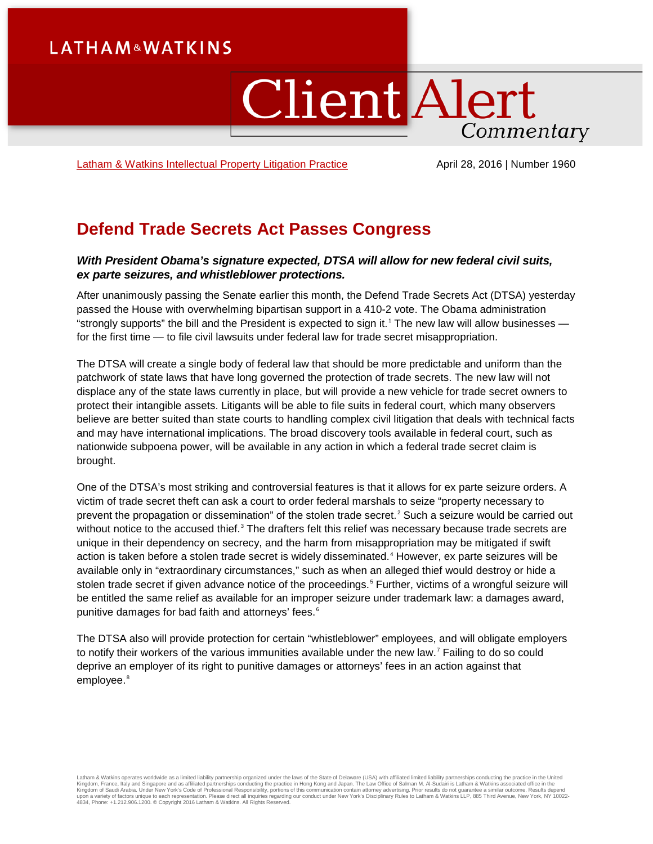## **LATHAM&WATKINS**

# ClientAlert Commentary

[Latham & Watkins Intellectual Property](https://www.lw.com/practices/IntellectualPropertyLitigation) Litigation Practice April 28, 2016 | Number 1960

### **Defend Trade Secrets Act Passes Congress**

#### *With President Obama's signature expected, DTSA will allow for new federal civil suits, ex parte seizures, and whistleblower protections.*

After unanimously passing the Senate earlier this month, the Defend Trade Secrets Act (DTSA) yesterday passed the House with overwhelming bipartisan support in a 410-2 vote. The Obama administration "strongly supports" the bill and the President is expected to sign it.<sup>[1](#page-2-0)</sup> The new law will allow businesses for the first time — to file civil lawsuits under federal law for trade secret misappropriation.

The DTSA will create a single body of federal law that should be more predictable and uniform than the patchwork of state laws that have long governed the protection of trade secrets. The new law will not displace any of the state laws currently in place, but will provide a new vehicle for trade secret owners to protect their intangible assets. Litigants will be able to file suits in federal court, which many observers believe are better suited than state courts to handling complex civil litigation that deals with technical facts and may have international implications. The broad discovery tools available in federal court, such as nationwide subpoena power, will be available in any action in which a federal trade secret claim is brought.

One of the DTSA's most striking and controversial features is that it allows for ex parte seizure orders. A victim of trade secret theft can ask a court to order federal marshals to seize "property necessary to prevent the propagation or dissemination" of the stolen trade secret.<sup>[2](#page-2-1)</sup> Such a seizure would be carried out without notice to the accused thief.<sup>[3](#page-2-2)</sup> The drafters felt this relief was necessary because trade secrets are unique in their dependency on secrecy, and the harm from misappropriation may be mitigated if swift action is taken before a stolen trade secret is widely disseminated. [4](#page-2-3) However, ex parte seizures will be available only in "extraordinary circumstances," such as when an alleged thief would destroy or hide a stolen trade secret if given advance notice of the proceedings.<sup>[5](#page-2-4)</sup> Further, victims of a wrongful seizure will be entitled the same relief as available for an improper seizure under trademark law: a damages award, punitive damages for bad faith and attorneys' fees.<sup>[6](#page-2-5)</sup>

The DTSA also will provide protection for certain "whistleblower" employees, and will obligate employers to notify their workers of the various immunities available under the new law. [7](#page-2-6) Failing to do so could deprive an employer of its right to punitive damages or attorneys' fees in an action against that employee.<sup>[8](#page-2-7)</sup>

Latham & Watkins operates worldwide as a limited liability partnership organized under the laws of the State of Delaware (USA) with affiliated plimited liability partnerships conducting the practice in the United<br>Kingdom o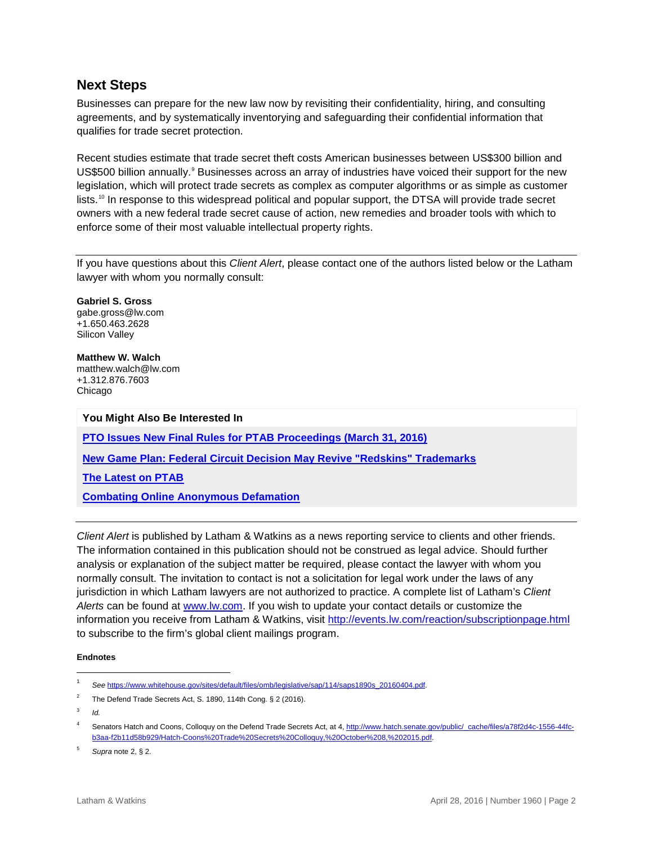#### **Next Steps**

Businesses can prepare for the new law now by revisiting their confidentiality, hiring, and consulting agreements, and by systematically inventorying and safeguarding their confidential information that qualifies for trade secret protection.

Recent studies estimate that trade secret theft costs American businesses between US\$300 billion and US\$500 billion annually.<sup>[9](#page-2-8)</sup> Businesses across an array of industries have voiced their support for the new legislation, which will protect trade secrets as complex as computer algorithms or as simple as customer lists. [10](#page-2-9) In response to this widespread political and popular support, the DTSA will provide trade secret owners with a new federal trade secret cause of action, new remedies and broader tools with which to enforce some of their most valuable intellectual property rights.

If you have questions about this *Client Alert*, please contact one of the authors listed below or the Latham lawyer with whom you normally consult:

**[Gabriel](http://www.lw.com/people/gabe-gross) S. Gross** [gabe.gross@lw.com](mailto:gabe.gross@lw.com) +1.650.463.2628 Silicon Valley

**[Matthew W. Walch](https://www.lw.com/people/matthew-walch)** matthew.walch@lw.com +1.312.876.7603 Chicago

**You Might Also Be Interested In [PTO Issues New Final Rules for PTAB Proceedings \(March 31, 2016\)](https://www.lw.com/thoughtLeadership/lw-pto-issues-rules-ptab-proceedings-march-31-2016) [New Game Plan: Federal Circuit Decision May Revive "Redskins" Trademarks](https://www.lw.com/thoughtLeadership/lw-federal-circuit-redskins-trademarks) [The Latest on PTAB](https://www.lw.com/thoughtLeadership/the-latest-on-ptab) [Combating Online Anonymous Defamation](https://www.lw.com/thoughtLeadership/combating-online-anonymous-defamation)**

*Client Alert* is published by Latham & Watkins as a news reporting service to clients and other friends. The information contained in this publication should not be construed as legal advice. Should further analysis or explanation of the subject matter be required, please contact the lawyer with whom you normally consult. The invitation to contact is not a solicitation for legal work under the laws of any jurisdiction in which Latham lawyers are not authorized to practice. A complete list of Latham's *Client Alerts* can be found at [www.lw.com.](http://www.lw.com/) If you wish to update your contact details or customize the information you receive from Latham & Watkins, visit<http://events.lw.com/reaction/subscriptionpage.html> to subscribe to the firm's global client mailings program.

#### **Endnotes**

 $\overline{a}$ 

<sup>5</sup> *Supra* note 2, § 2.

<sup>1</sup> *See* [https://www.whitehouse.gov/sites/default/files/omb/legislative/sap/114/saps1890s\\_20160404.pdf.](https://www.whitehouse.gov/sites/default/files/omb/legislative/sap/114/saps1890s_20160404.pdf)

<sup>&</sup>lt;sup>2</sup> The Defend Trade Secrets Act, S. 1890, 114th Cong. § 2 (2016).

<sup>3</sup> *Id.*

Senators Hatch and Coons, Colloquy on the Defend Trade Secrets Act, at 4, [http://www.hatch.senate.gov/public/\\_cache/files/a78f2d4c-1556-44fc](http://www.hatch.senate.gov/public/_cache/files/a78f2d4c-1556-44fc-b3aa-f2b11d58b929/Hatch-Coons%20Trade%20Secrets%20Colloquy,%20October%208,%202015.pdf)[b3aa-f2b11d58b929/Hatch-Coons%20Trade%20Secrets%20Colloquy,%20October%208,%202015.pdf.](http://www.hatch.senate.gov/public/_cache/files/a78f2d4c-1556-44fc-b3aa-f2b11d58b929/Hatch-Coons%20Trade%20Secrets%20Colloquy,%20October%208,%202015.pdf)